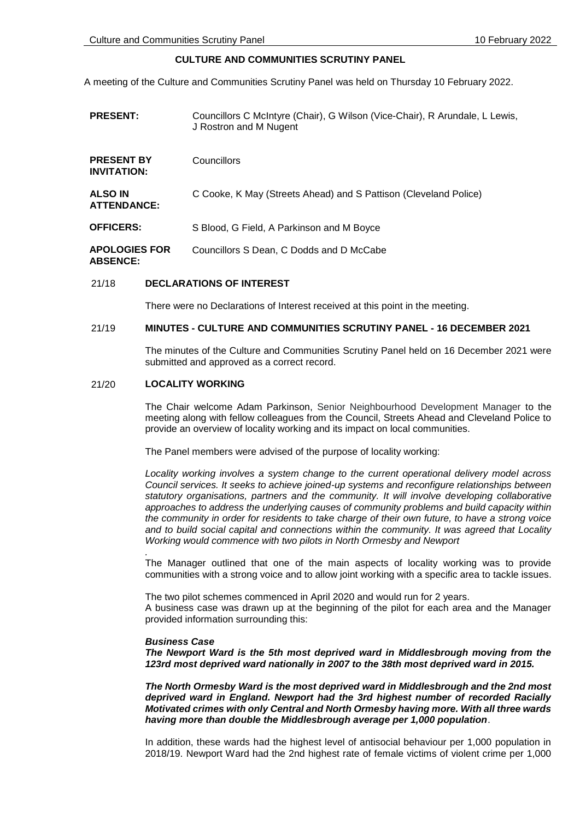# **CULTURE AND COMMUNITIES SCRUTINY PANEL**

A meeting of the Culture and Communities Scrutiny Panel was held on Thursday 10 February 2022.

| <b>PRESENT:</b>                         | Councillors C McIntyre (Chair), G Wilson (Vice-Chair), R Arundale, L Lewis,<br>J Rostron and M Nugent |
|-----------------------------------------|-------------------------------------------------------------------------------------------------------|
| <b>PRESENT BY</b><br><b>INVITATION:</b> | Councillors                                                                                           |
| <b>ALSO IN</b><br><b>ATTENDANCE:</b>    | C Cooke, K May (Streets Ahead) and S Pattison (Cleveland Police)                                      |
| <b>OFFICERS:</b>                        | S Blood, G Field, A Parkinson and M Boyce                                                             |
| <b>APOLOGIES FOR</b><br><b>ABSENCE:</b> | Councillors S Dean. C Dodds and D McCabe                                                              |

# 21/18 **DECLARATIONS OF INTEREST**

There were no Declarations of Interest received at this point in the meeting.

# 21/19 **MINUTES - CULTURE AND COMMUNITIES SCRUTINY PANEL - 16 DECEMBER 2021**

The minutes of the Culture and Communities Scrutiny Panel held on 16 December 2021 were submitted and approved as a correct record.

# 21/20 **LOCALITY WORKING**

The Chair welcome Adam Parkinson, Senior Neighbourhood Development Manager to the meeting along with fellow colleagues from the Council, Streets Ahead and Cleveland Police to provide an overview of locality working and its impact on local communities.

The Panel members were advised of the purpose of locality working:

*Locality working involves a system change to the current operational delivery model across Council services. It seeks to achieve joined-up systems and reconfigure relationships between statutory organisations, partners and the community. It will involve developing collaborative approaches to address the underlying causes of community problems and build capacity within the community in order for residents to take charge of their own future, to have a strong voice and to build social capital and connections within the community. It was agreed that Locality Working would commence with two pilots in North Ormesby and Newport*

The Manager outlined that one of the main aspects of locality working was to provide communities with a strong voice and to allow joint working with a specific area to tackle issues.

The two pilot schemes commenced in April 2020 and would run for 2 years. A business case was drawn up at the beginning of the pilot for each area and the Manager provided information surrounding this:

#### *Business Case*

*.*

*The Newport Ward is the 5th most deprived ward in Middlesbrough moving from the 123rd most deprived ward nationally in 2007 to the 38th most deprived ward in 2015.* 

*The North Ormesby Ward is the most deprived ward in Middlesbrough and the 2nd most deprived ward in England. Newport had the 3rd highest number of recorded Racially Motivated crimes with only Central and North Ormesby having more. With all three wards having more than double the Middlesbrough average per 1,000 population*.

In addition, these wards had the highest level of antisocial behaviour per 1,000 population in 2018/19. Newport Ward had the 2nd highest rate of female victims of violent crime per 1,000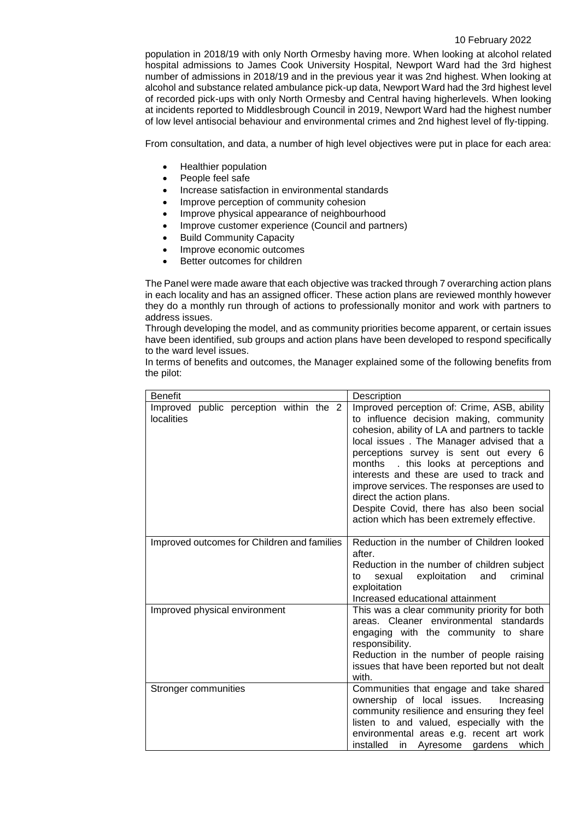### 10 February 2022

population in 2018/19 with only North Ormesby having more. When looking at alcohol related hospital admissions to James Cook University Hospital, Newport Ward had the 3rd highest number of admissions in 2018/19 and in the previous year it was 2nd highest. When looking at alcohol and substance related ambulance pick-up data, Newport Ward had the 3rd highest level of recorded pick-ups with only North Ormesby and Central having higherlevels. When looking at incidents reported to Middlesbrough Council in 2019, Newport Ward had the highest number of low level antisocial behaviour and environmental crimes and 2nd highest level of fly-tipping.

From consultation, and data, a number of high level objectives were put in place for each area:

- Healthier population
- People feel safe
- Increase satisfaction in environmental standards
- Improve perception of community cohesion
- Improve physical appearance of neighbourhood
- Improve customer experience (Council and partners)
- Build Community Capacity
- Improve economic outcomes
- Better outcomes for children

The Panel were made aware that each objective was tracked through 7 overarching action plans in each locality and has an assigned officer. These action plans are reviewed monthly however they do a monthly run through of actions to professionally monitor and work with partners to address issues.

Through developing the model, and as community priorities become apparent, or certain issues have been identified, sub groups and action plans have been developed to respond specifically to the ward level issues.

In terms of benefits and outcomes, the Manager explained some of the following benefits from the pilot:

| <b>Benefit</b>                                        | Description                                                                                                                                                                                                                                                                                                                                                                                                                                                                                 |  |  |
|-------------------------------------------------------|---------------------------------------------------------------------------------------------------------------------------------------------------------------------------------------------------------------------------------------------------------------------------------------------------------------------------------------------------------------------------------------------------------------------------------------------------------------------------------------------|--|--|
| Improved public perception within the 2<br>localities | Improved perception of: Crime, ASB, ability<br>to influence decision making, community<br>cohesion, ability of LA and partners to tackle<br>local issues. The Manager advised that a<br>perceptions survey is sent out every 6<br>months . this looks at perceptions and<br>interests and these are used to track and<br>improve services. The responses are used to<br>direct the action plans.<br>Despite Covid, there has also been social<br>action which has been extremely effective. |  |  |
| Improved outcomes for Children and families           | Reduction in the number of Children looked<br>after.<br>Reduction in the number of children subject<br>exploitation<br>sexual<br>and<br>criminal<br>to<br>exploitation<br>Increased educational attainment                                                                                                                                                                                                                                                                                  |  |  |
| Improved physical environment                         | This was a clear community priority for both<br>areas. Cleaner environmental standards<br>engaging with the community to share<br>responsibility.<br>Reduction in the number of people raising<br>issues that have been reported but not dealt<br>with.                                                                                                                                                                                                                                     |  |  |
| Stronger communities                                  | Communities that engage and take shared<br>ownership of local issues.<br>Increasing<br>community resilience and ensuring they feel<br>listen to and valued, especially with the<br>environmental areas e.g. recent art work<br>installed<br>in Ayresome<br>gardens<br>which                                                                                                                                                                                                                 |  |  |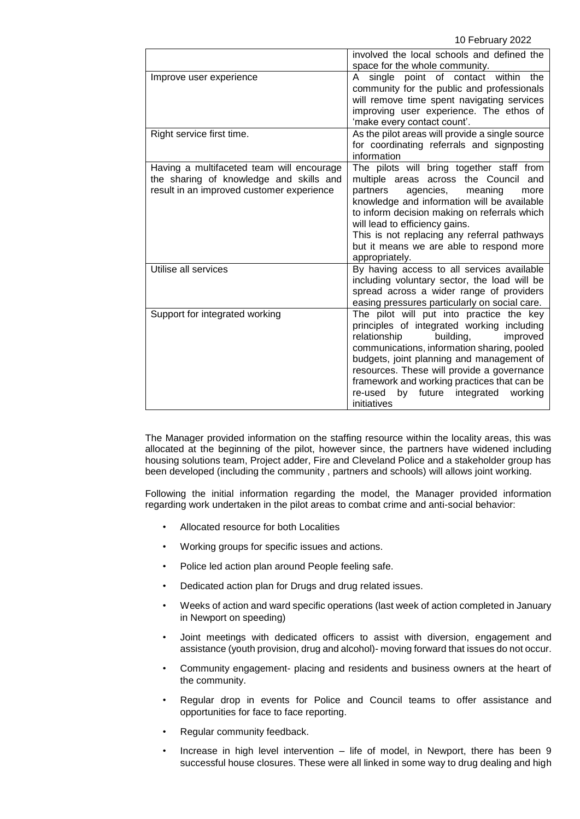10 February 2022

|                                                                                                                                   | involved the local schools and defined the                                                                                                                                                                                                                                                                                                                                            |  |  |  |
|-----------------------------------------------------------------------------------------------------------------------------------|---------------------------------------------------------------------------------------------------------------------------------------------------------------------------------------------------------------------------------------------------------------------------------------------------------------------------------------------------------------------------------------|--|--|--|
|                                                                                                                                   | space for the whole community.                                                                                                                                                                                                                                                                                                                                                        |  |  |  |
| Improve user experience                                                                                                           | A single point of contact within the<br>community for the public and professionals<br>will remove time spent navigating services<br>improving user experience. The ethos of<br>'make every contact count'.                                                                                                                                                                            |  |  |  |
| Right service first time.                                                                                                         | As the pilot areas will provide a single source<br>for coordinating referrals and signposting<br>information                                                                                                                                                                                                                                                                          |  |  |  |
| Having a multifaceted team will encourage<br>the sharing of knowledge and skills and<br>result in an improved customer experience | The pilots will bring together staff from<br>multiple areas across the Council<br>and<br>agencies,<br>partners<br>meaning<br>more<br>knowledge and information will be available<br>to inform decision making on referrals which<br>will lead to efficiency gains.<br>This is not replacing any referral pathways<br>but it means we are able to respond more<br>appropriately.       |  |  |  |
| Utilise all services                                                                                                              | By having access to all services available<br>including voluntary sector, the load will be<br>spread across a wider range of providers<br>easing pressures particularly on social care.                                                                                                                                                                                               |  |  |  |
| Support for integrated working                                                                                                    | The pilot will put into practice the key<br>principles of integrated working including<br>relationship<br>building,<br>improved<br>communications, information sharing, pooled<br>budgets, joint planning and management of<br>resources. These will provide a governance<br>framework and working practices that can be<br>by future integrated<br>re-used<br>working<br>initiatives |  |  |  |

The Manager provided information on the staffing resource within the locality areas, this was allocated at the beginning of the pilot, however since, the partners have widened including housing solutions team, Project adder, Fire and Cleveland Police and a stakeholder group has been developed (including the community , partners and schools) will allows joint working.

Following the initial information regarding the model, the Manager provided information regarding work undertaken in the pilot areas to combat crime and anti-social behavior:

- Allocated resource for both Localities
- Working groups for specific issues and actions.
- Police led action plan around People feeling safe.
- Dedicated action plan for Drugs and drug related issues.
- Weeks of action and ward specific operations (last week of action completed in January in Newport on speeding)
- Joint meetings with dedicated officers to assist with diversion, engagement and assistance (youth provision, drug and alcohol)- moving forward that issues do not occur.
- Community engagement- placing and residents and business owners at the heart of the community.
- Regular drop in events for Police and Council teams to offer assistance and opportunities for face to face reporting.
- Regular community feedback.
- Increase in high level intervention life of model, in Newport, there has been 9 successful house closures. These were all linked in some way to drug dealing and high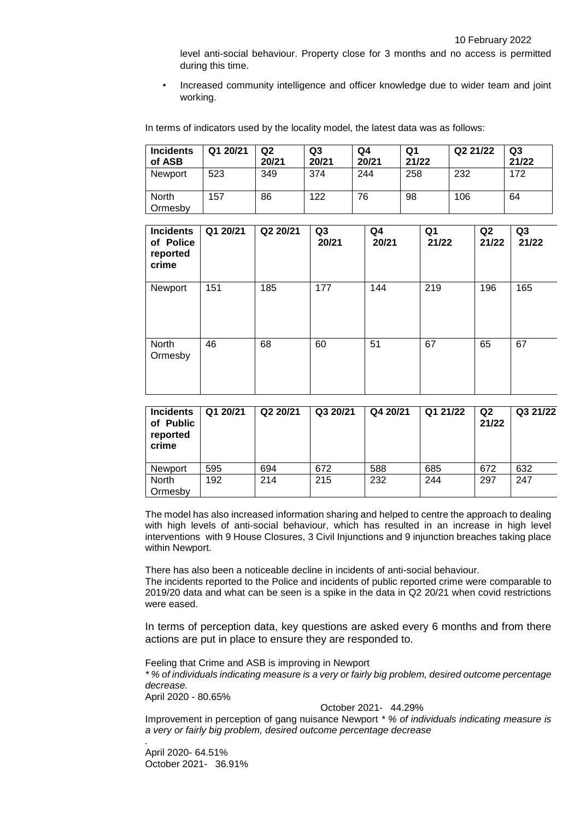level anti-social behaviour. Property close for 3 months and no access is permitted during this time.

• Increased community intelligence and officer knowledge due to wider team and joint working.

In terms of indicators used by the locality model, the latest data was as follows:

| <b>Incidents</b><br>of ASB | Q1 20/21 | Q <sub>2</sub><br>20/21 | Q3<br>20/21 | Q4<br>20/21 | Q1<br>21/22 | Q2 21/22 | Q3<br>21/22 |
|----------------------------|----------|-------------------------|-------------|-------------|-------------|----------|-------------|
| Newport                    | 523      | 349                     | 374         | 244         | 258         | 232      | 172         |
| <b>North</b><br>Ormesby    | 157      | 86                      | 122         | 76          | 98          | 106      | 64          |

| <b>Incidents</b><br>of Police<br>reported<br>crime | Q1 20/21 | Q2 20/21 | Q3<br>20/21 | Q4<br>20/21 | Q1<br>21/22 | Q2<br>21/22 | Q3<br>21/22 |
|----------------------------------------------------|----------|----------|-------------|-------------|-------------|-------------|-------------|
| Newport                                            | 151      | 185      | 177         | 144         | 219         | 196         | 165         |
| North<br>Ormesby                                   | 46       | 68       | 60          | 51          | 67          | 65          | 67          |

| <b>Incidents</b><br>of Public<br>reported<br>crime | Q1 20/21 | Q2 20/21 | Q3 20/21 | Q4 20/21 | Q1 21/22 | Q <sub>2</sub><br>21/22 | Q3 21/22 |
|----------------------------------------------------|----------|----------|----------|----------|----------|-------------------------|----------|
| <b>Newport</b>                                     | 595      | 694      | 672      | 588      | 685      | 672                     | 632      |
| <b>North</b>                                       | 192      | 214      | 215      | 232      | 244      | 297                     | 247      |
| Ormesby                                            |          |          |          |          |          |                         |          |

The model has also increased information sharing and helped to centre the approach to dealing with high levels of anti-social behaviour, which has resulted in an increase in high level interventions with 9 House Closures, 3 Civil Injunctions and 9 injunction breaches taking place within Newport.

There has also been a noticeable decline in incidents of anti-social behaviour.

The incidents reported to the Police and incidents of public reported crime were comparable to 2019/20 data and what can be seen is a spike in the data in Q2 20/21 when covid restrictions were eased.

In terms of perception data, key questions are asked every 6 months and from there actions are put in place to ensure they are responded to.

Feeling that Crime and ASB is improving in Newport

*\* % of individuals indicating measure is a very or fairly big problem, desired outcome percentage decrease.*

April 2020 - 80.65%

*.*

# October 2021- 44.29%

Improvement in perception of gang nuisance Newport *\* % of individuals indicating measure is a very or fairly big problem, desired outcome percentage decrease*

April 2020- 64.51% October 2021- 36.91%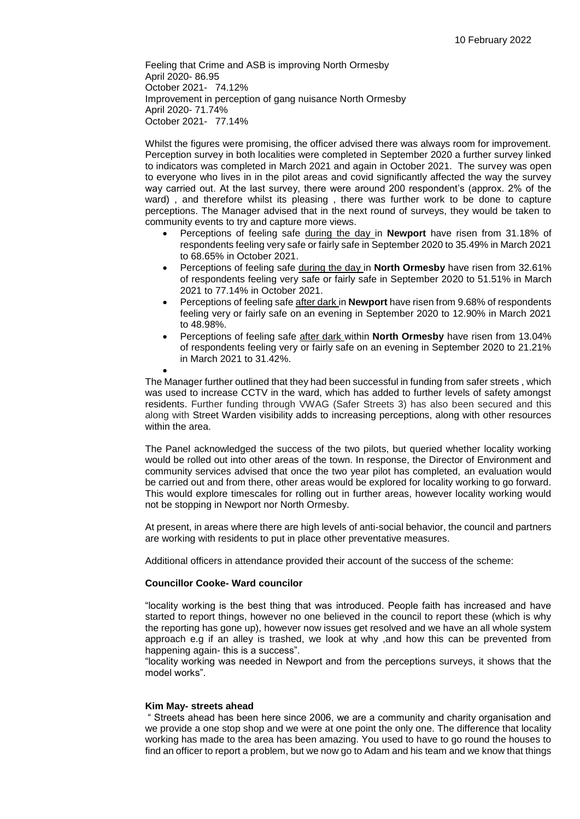Feeling that Crime and ASB is improving North Ormesby April 2020- 86.95 October 2021- 74.12% Improvement in perception of gang nuisance North Ormesby April 2020- 71.74% October 2021- 77.14%

Whilst the figures were promising, the officer advised there was always room for improvement. Perception survey in both localities were completed in September 2020 a further survey linked to indicators was completed in March 2021 and again in October 2021. The survey was open to everyone who lives in in the pilot areas and covid significantly affected the way the survey way carried out. At the last survey, there were around 200 respondent's (approx. 2% of the ward) , and therefore whilst its pleasing , there was further work to be done to capture perceptions. The Manager advised that in the next round of surveys, they would be taken to community events to try and capture more views.

- Perceptions of feeling safe during the day in **Newport** have risen from 31.18% of respondents feeling very safe or fairly safe in September 2020 to 35.49% in March 2021 to 68.65% in October 2021.
- Perceptions of feeling safe during the day in **North Ormesby** have risen from 32.61% of respondents feeling very safe or fairly safe in September 2020 to 51.51% in March 2021 to 77.14% in October 2021.
- Perceptions of feeling safe after dark in **Newport** have risen from 9.68% of respondents feeling very or fairly safe on an evening in September 2020 to 12.90% in March 2021 to 48.98%.
- Perceptions of feeling safe after dark within **North Ormesby** have risen from 13.04% of respondents feeling very or fairly safe on an evening in September 2020 to 21.21% in March 2021 to 31.42%.

 $\bullet$ The Manager further outlined that they had been successful in funding from safer streets , which was used to increase CCTV in the ward, which has added to further levels of safety amongst residents. Further funding through VWAG (Safer Streets 3) has also been secured and this along with Street Warden visibility adds to increasing perceptions, along with other resources within the area.

The Panel acknowledged the success of the two pilots, but queried whether locality working would be rolled out into other areas of the town. In response, the Director of Environment and community services advised that once the two year pilot has completed, an evaluation would be carried out and from there, other areas would be explored for locality working to go forward. This would explore timescales for rolling out in further areas, however locality working would not be stopping in Newport nor North Ormesby.

At present, in areas where there are high levels of anti-social behavior, the council and partners are working with residents to put in place other preventative measures.

Additional officers in attendance provided their account of the success of the scheme:

# **Councillor Cooke- Ward councilor**

"locality working is the best thing that was introduced. People faith has increased and have started to report things, however no one believed in the council to report these (which is why the reporting has gone up), however now issues get resolved and we have an all whole system approach e.g if an alley is trashed, we look at why ,and how this can be prevented from happening again- this is a success".

"locality working was needed in Newport and from the perceptions surveys, it shows that the model works".

#### **Kim May- streets ahead**

" Streets ahead has been here since 2006, we are a community and charity organisation and we provide a one stop shop and we were at one point the only one. The difference that locality working has made to the area has been amazing. You used to have to go round the houses to find an officer to report a problem, but we now go to Adam and his team and we know that things